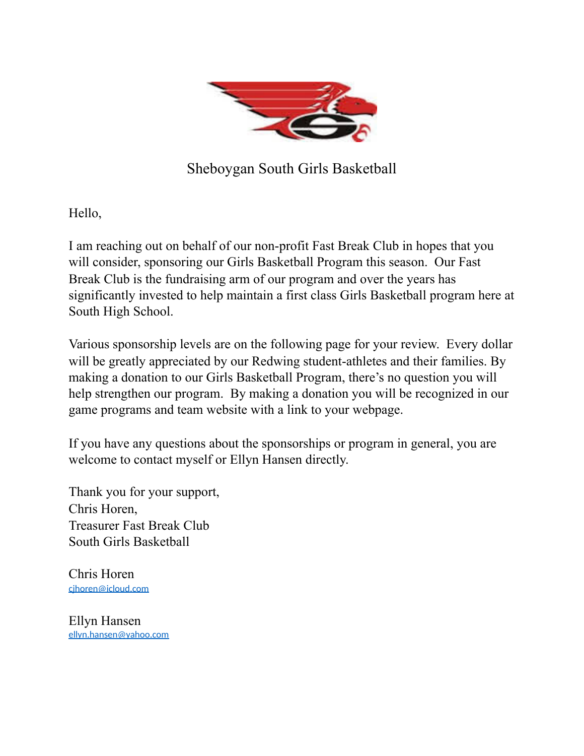

Sheboygan South Girls Basketball

Hello,

I am reaching out on behalf of our non-profit Fast Break Club in hopes that you will consider, sponsoring our Girls Basketball Program this season. Our Fast Break Club is the fundraising arm of our program and over the years has significantly invested to help maintain a first class Girls Basketball program here at South High School.

Various sponsorship levels are on the following page for your review. Every dollar will be greatly appreciated by our Redwing student-athletes and their families. By making a donation to our Girls Basketball Program, there's no question you will help strengthen our program. By making a donation you will be recognized in our game programs and team website with a link to your webpage.

If you have any questions about the sponsorships or program in general, you are welcome to contact myself or Ellyn Hansen directly.

Thank you for your support, Chris Horen, Treasurer Fast Break Club South Girls Basketball

Chris Horen [cjhoren@icloud.com](mailto:cjhoren@icloud.com)

Ellyn Hansen [ellyn.hansen@yahoo.com](mailto:ellyn.hansen@yahoo.com)